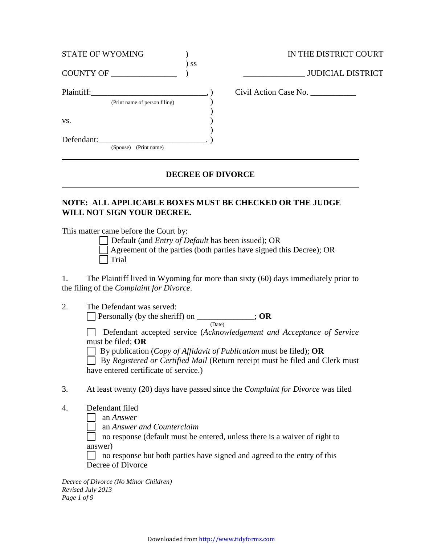| <b>STATE OF WYOMING</b>                     |        | IN THE DISTRICT COURT    |
|---------------------------------------------|--------|--------------------------|
| COUNTY OF                                   | $)$ SS | <b>JUDICIAL DISTRICT</b> |
| Plaintiff:<br>(Print name of person filing) |        | Civil Action Case No.    |
| VS.                                         |        |                          |
| Defendant:<br>(Print name)<br>(Spouse)      |        |                          |

## **DECREE OF DIVORCE**

# **NOTE: ALL APPLICABLE BOXES MUST BE CHECKED OR THE JUDGE WILL NOT SIGN YOUR DECREE.**

This matter came before the Court by:

Default (and *Entry of Default* has been issued); OR

| Agreement of the parties (both parties have signed this Decree); OR |
|---------------------------------------------------------------------|
| Trial                                                               |

1. The Plaintiff lived in Wyoming for more than sixty (60) days immediately prior to the filing of the *Complaint for Divorce*.

2. The Defendant was served: Personally (by the sheriff) on \_\_\_\_\_\_\_\_\_\_\_\_\_\_; **OR** (Date)

> Defendant accepted service (*Acknowledgement and Acceptance of Service*  must be filed; **OR**

By publication (*Copy of Affidavit of Publication* must be filed); **OR**

 By *Registered or Certified Mail* (Return receipt must be filed and Clerk must have entered certificate of service.)

3. At least twenty (20) days have passed since the *Complaint for Divorce* was filed

4. Defendant filed

an *Answer*

an *Answer and Counterclaim*

 no response (default must be entered, unless there is a waiver of right to answer)

 $\Box$  no response but both parties have signed and agreed to the entry of this Decree of Divorce

*Decree of Divorce (No Minor Children) Revised July 2013 Page 1 of 9*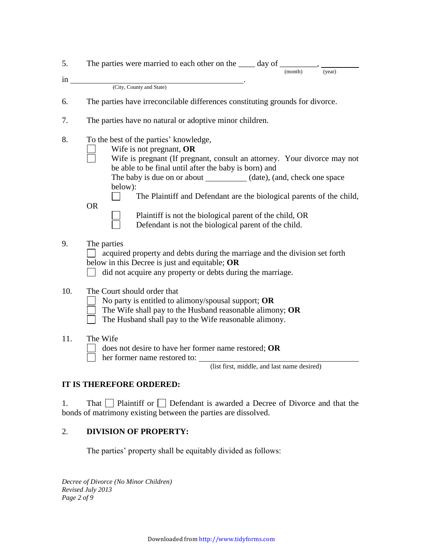| 5.  | The parties were married to each other on the _____ day of __________, ___<br>(month)<br>(year)                                                                                                                                                                                                                                                                                   |
|-----|-----------------------------------------------------------------------------------------------------------------------------------------------------------------------------------------------------------------------------------------------------------------------------------------------------------------------------------------------------------------------------------|
| in  |                                                                                                                                                                                                                                                                                                                                                                                   |
|     | (City, County and State)                                                                                                                                                                                                                                                                                                                                                          |
| 6.  | The parties have irreconcilable differences constituting grounds for divorce.                                                                                                                                                                                                                                                                                                     |
| 7.  | The parties have no natural or adoptive minor children.                                                                                                                                                                                                                                                                                                                           |
| 8.  | To the best of the parties' knowledge,<br>Wife is not pregnant, OR<br>Wife is pregnant (If pregnant, consult an attorney. Your divorce may not<br>be able to be final until after the baby is born) and<br>The baby is due on or about ____________ (date), (and, check one space<br>below):<br>The Plaintiff and Defendant are the biological parents of the child,<br><b>OR</b> |
|     | Plaintiff is not the biological parent of the child, OR<br>Defendant is not the biological parent of the child.                                                                                                                                                                                                                                                                   |
| 9.  | The parties<br>acquired property and debts during the marriage and the division set forth<br>below in this Decree is just and equitable; OR<br>did not acquire any property or debts during the marriage.                                                                                                                                                                         |
| 10. | The Court should order that<br>No party is entitled to alimony/spousal support; OR<br>The Wife shall pay to the Husband reasonable alimony; OR<br>The Husband shall pay to the Wife reasonable alimony.                                                                                                                                                                           |
| 11. | The Wife<br>does not desire to have her former name restored; OR<br>her former name restored to:<br>(list first, middle, and last name desired)                                                                                                                                                                                                                                   |

## **IT IS THEREFORE ORDERED:**

1. That  $\Box$  Plaintiff or  $\Box$  Defendant is awarded a Decree of Divorce and that the bonds of matrimony existing between the parties are dissolved.

# 2. **DIVISION OF PROPERTY:**

The parties' property shall be equitably divided as follows:

*Decree of Divorce (No Minor Children) Revised July 2013 Page 2 of 9*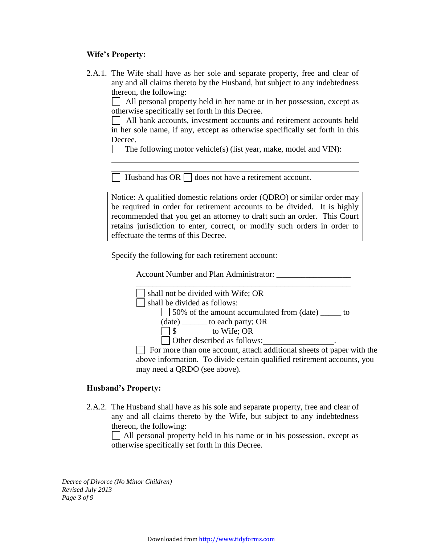### **Wife's Property:**

2.A.1. The Wife shall have as her sole and separate property, free and clear of any and all claims thereto by the Husband, but subject to any indebtedness thereon, the following:

 $\Box$  All personal property held in her name or in her possession, except as otherwise specifically set forth in this Decree.

 All bank accounts, investment accounts and retirement accounts held in her sole name, if any, except as otherwise specifically set forth in this Decree.

The following motor vehicle(s) (list year, make, model and VIN):

 $\Box$  Husband has OR  $\Box$  does not have a retirement account.

Notice: A qualified domestic relations order (QDRO) or similar order may be required in order for retirement accounts to be divided. It is highly recommended that you get an attorney to draft such an order. This Court retains jurisdiction to enter, correct, or modify such orders in order to effectuate the terms of this Decree.

Specify the following for each retirement account:

Account Number and Plan Administrator: \_\_\_\_\_\_\_\_\_\_\_\_\_\_\_\_\_\_



above information. To divide certain qualified retirement accounts, you may need a QRDO (see above).

#### **Husband's Property:**

2.A.2. The Husband shall have as his sole and separate property, free and clear of any and all claims thereto by the Wife, but subject to any indebtedness thereon, the following:

All personal property held in his name or in his possession, except as otherwise specifically set forth in this Decree.

*Decree of Divorce (No Minor Children) Revised July 2013 Page 3 of 9*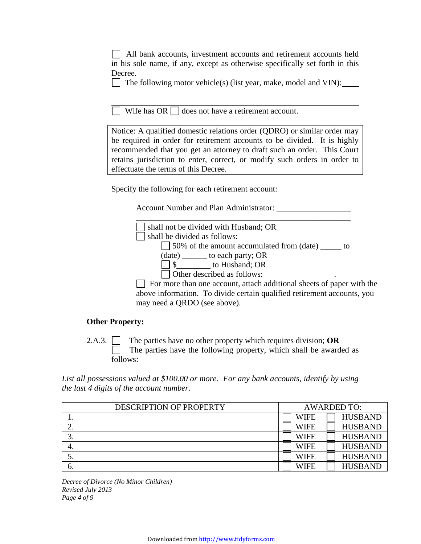|         | All bank accounts, investment accounts and retirement accounts held          |
|---------|------------------------------------------------------------------------------|
|         | in his sole name, if any, except as otherwise specifically set forth in this |
| Decree. |                                                                              |

 $\Box$  The following motor vehicle(s) (list year, make, model and VIN):

 $\Box$  Wife has OR  $\Box$  does not have a retirement account.

Notice: A qualified domestic relations order (QDRO) or similar order may be required in order for retirement accounts to be divided. It is highly recommended that you get an attorney to draft such an order. This Court retains jurisdiction to enter, correct, or modify such orders in order to effectuate the terms of this Decree.

Specify the following for each retirement account:

Account Number and Plan Administrator:



### **Other Property:**

2.A.3. The parties have no other property which requires division; **OR** The parties have the following property, which shall be awarded as follows:

*List all possessions valued at \$100.00 or more. For any bank accounts, identify by using the last 4 digits of the account number.*

| DESCRIPTION OF PROPERTY | <b>AWARDED TO:</b> |                |
|-------------------------|--------------------|----------------|
| . .                     | <b>WIFE</b>        | <b>HUSBAND</b> |
|                         | <b>WIFE</b>        | <b>HUSBAND</b> |
|                         | <b>WIFE</b>        | <b>HUSBAND</b> |
|                         | <b>WIFE</b>        | <b>HUSBAND</b> |
| J.                      | <b>WIFE</b>        | <b>HUSBAND</b> |
| O.                      | <b>WIFE</b>        | <b>HUSBAND</b> |

*Decree of Divorce (No Minor Children) Revised July 2013 Page 4 of 9*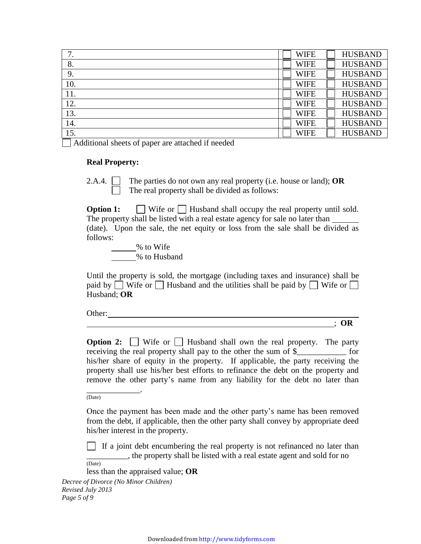| ⇁<br>7. | <b>WIFE</b> | <b>HUSBAND</b> |
|---------|-------------|----------------|
| 8.      | <b>WIFE</b> | <b>HUSBAND</b> |
| 9.      | <b>WIFE</b> | <b>HUSBAND</b> |
| 10.     | <b>WIFE</b> | <b>HUSBAND</b> |
| 11.     | <b>WIFE</b> | <b>HUSBAND</b> |
| 12.     | <b>WIFE</b> | <b>HUSBAND</b> |
| 13.     | <b>WIFE</b> | <b>HUSBAND</b> |
| 14.     | <b>WIFE</b> | <b>HUSBAND</b> |
| 15.     | <b>WIFE</b> | <b>HUSBAND</b> |
|         |             |                |

Additional sheets of paper are attached if needed

#### **Real Property:**

2.A.4. The parties do not own any real property (i.e. house or land); **OR** The real property shall be divided as follows:

**Option 1:** Wife or Husband shall occupy the real property until sold. The property shall be listed with a real estate agency for sale no later than (date). Upon the sale, the net equity or loss from the sale shall be divided as follows:

% to Wife % to Husband

Until the property is sold, the mortgage (including taxes and insurance) shall be paid by  $\Box$  Wife or  $\Box$  Husband and the utilities shall be paid by  $\Box$  Wife or  $\Box$ Husband; **OR**

Other:

; **OR**

**Option 2:**  $\Box$  Wife or  $\Box$  Husband shall own the real property. The party receiving the real property shall pay to the other the sum of \$\_\_\_\_\_\_\_\_\_\_\_\_ for his/her share of equity in the property. If applicable, the party receiving the property shall use his/her best efforts to refinance the debt on the property and remove the other party's name from any liability for the debt no later than

(Date)

\_\_\_\_\_\_\_\_\_\_\_\_\_.

Once the payment has been made and the other party's name has been removed from the debt, if applicable, then the other party shall convey by appropriate deed his/her interest in the property.

If a joint debt encumbering the real property is not refinanced no later than \_\_\_\_\_\_\_\_\_\_, the property shall be listed with a real estate agent and sold for no (Date)

less than the appraised value; **OR**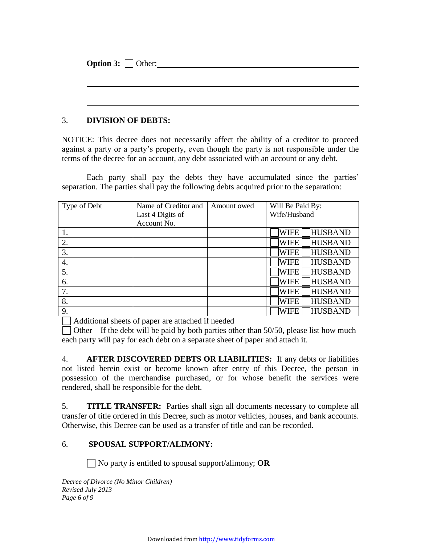| <b>Option 3:</b> $\Box$ Other: |  |  |
|--------------------------------|--|--|
|                                |  |  |
|                                |  |  |
|                                |  |  |
|                                |  |  |

## 3. **DIVISION OF DEBTS:**

NOTICE: This decree does not necessarily affect the ability of a creditor to proceed against a party or a party's property, even though the party is not responsible under the terms of the decree for an account, any debt associated with an account or any debt.

Each party shall pay the debts they have accumulated since the parties' separation. The parties shall pay the following debts acquired prior to the separation:

| Type of Debt | Name of Creditor and | Amount owed | Will Be Paid By:              |
|--------------|----------------------|-------------|-------------------------------|
|              | Last 4 Digits of     |             | Wife/Husband                  |
|              | Account No.          |             |                               |
|              |                      |             | <b>HUSBAND</b><br><b>WIFE</b> |
| 2.           |                      |             | <b>HUSBAND</b><br><b>WIFE</b> |
| 3.           |                      |             | <b>HUSBAND</b><br><b>WIFE</b> |
| 4.           |                      |             | <b>HUSBAND</b><br><b>WIFE</b> |
| 5.           |                      |             | <b>HUSBAND</b><br><b>WIFE</b> |
| 6.           |                      |             | <b>HUSBAND</b><br><b>WIFE</b> |
| 7.           |                      |             | <b>HUSBAND</b><br><b>WIFE</b> |
| 8.           |                      |             | <b>HUSBAND</b><br><b>WIFE</b> |
| 9.           |                      |             | <b>HUSBAND</b><br><b>WIFE</b> |

Additional sheets of paper are attached if needed

 $\Box$  Other – If the debt will be paid by both parties other than 50/50, please list how much each party will pay for each debt on a separate sheet of paper and attach it.

4. **AFTER DISCOVERED DEBTS OR LIABILITIES:** If any debts or liabilities not listed herein exist or become known after entry of this Decree, the person in possession of the merchandise purchased, or for whose benefit the services were rendered, shall be responsible for the debt.

5. **TITLE TRANSFER:** Parties shall sign all documents necessary to complete all transfer of title ordered in this Decree, such as motor vehicles, houses, and bank accounts. Otherwise, this Decree can be used as a transfer of title and can be recorded.

# 6. **SPOUSAL SUPPORT/ALIMONY:**

No party is entitled to spousal support/alimony; **OR**

*Decree of Divorce (No Minor Children) Revised July 2013 Page 6 of 9*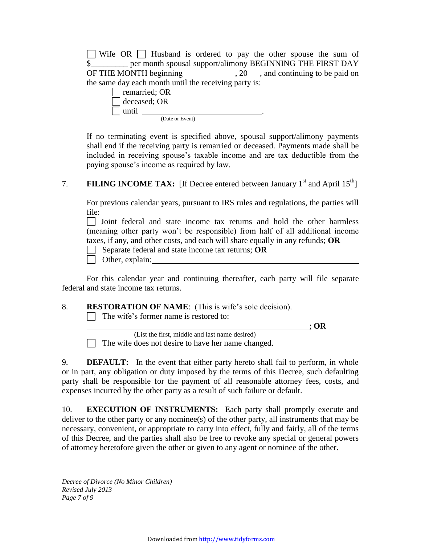$\Box$  Wife OR  $\Box$  Husband is ordered to pay the other spouse the sum of \$\_\_\_\_\_\_\_\_\_ per month spousal support/alimony BEGINNING THE FIRST DAY OF THE MONTH beginning 20, 20, and continuing to be paid on the same day each month until the receiving party is:

|       | remarried; OR        |  |  |
|-------|----------------------|--|--|
|       | $\vert$ deceased; OR |  |  |
| until |                      |  |  |
|       | (Date or Event)      |  |  |

If no terminating event is specified above, spousal support/alimony payments shall end if the receiving party is remarried or deceased. Payments made shall be included in receiving spouse's taxable income and are tax deductible from the paying spouse's income as required by law.

## 7. **FILING INCOME TAX:** [If Decree entered between January  $1^{st}$  and April  $15^{th}$ ]

For previous calendar years, pursuant to IRS rules and regulations, the parties will file:

 $\Box$  Joint federal and state income tax returns and hold the other harmless (meaning other party won't be responsible) from half of all additional income taxes, if any, and other costs, and each will share equally in any refunds; **OR**

Separate federal and state income tax returns; **OR**

Other, explain:

For this calendar year and continuing thereafter, each party will file separate federal and state income tax returns.

### 8. **RESTORATION OF NAME**: (This is wife's sole decision).

 $\Box$  The wife's former name is restored to:

; **OR**

 (List the first, middle and last name desired) The wife does not desire to have her name changed.

9. **DEFAULT:** In the event that either party hereto shall fail to perform, in whole or in part, any obligation or duty imposed by the terms of this Decree, such defaulting party shall be responsible for the payment of all reasonable attorney fees, costs, and expenses incurred by the other party as a result of such failure or default.

10. **EXECUTION OF INSTRUMENTS:** Each party shall promptly execute and deliver to the other party or any nominee(s) of the other party, all instruments that may be necessary, convenient, or appropriate to carry into effect, fully and fairly, all of the terms of this Decree, and the parties shall also be free to revoke any special or general powers of attorney heretofore given the other or given to any agent or nominee of the other.

*Decree of Divorce (No Minor Children) Revised July 2013 Page 7 of 9*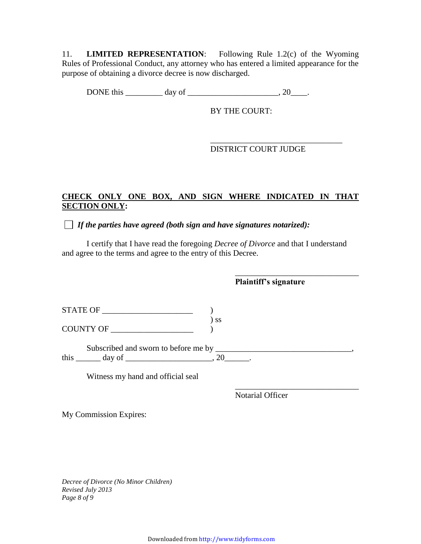11. **LIMITED REPRESENTATION**: Following Rule 1.2(c) of the Wyoming Rules of Professional Conduct, any attorney who has entered a limited appearance for the purpose of obtaining a divorce decree is now discharged.

DONE this  $\_\_\_\_\_\_\$  day of  $\_\_\_\_\_\_\_\_\_\_\_$ , 20 $\_\_\_\_\_\.\_$ 

BY THE COURT:

### \_\_\_\_\_\_\_\_\_\_\_\_\_\_\_\_\_\_\_\_\_\_\_\_\_\_\_\_\_\_\_\_ DISTRICT COURT JUDGE

# **CHECK ONLY ONE BOX, AND SIGN WHERE INDICATED IN THAT SECTION ONLY:**

*If the parties have agreed (both sign and have signatures notarized):*

I certify that I have read the foregoing *Decree of Divorce* and that I understand and agree to the terms and agree to the entry of this Decree.

\_\_\_\_\_\_\_\_\_\_\_\_\_\_\_\_\_\_\_\_\_\_\_\_\_\_\_\_\_\_ **Plaintiff's signature** STATE OF \_\_\_\_\_\_\_\_\_\_\_\_\_\_\_\_\_\_\_\_\_\_ ) ) ss COUNTY OF \_\_\_\_\_\_\_\_\_\_\_\_\_\_\_\_\_\_\_\_ ) Subscribed and sworn to before me by \_\_\_\_\_\_\_\_\_\_\_\_\_\_\_\_\_\_\_\_\_\_\_\_\_\_\_\_\_\_\_\_\_, this  $\frac{1}{\sqrt{2}}$  day of  $\frac{1}{\sqrt{2}}$  and  $\frac{1}{\sqrt{2}}$  and  $\frac{1}{\sqrt{2}}$  and  $\frac{1}{\sqrt{2}}$  and  $\frac{1}{\sqrt{2}}$  and  $\frac{1}{\sqrt{2}}$  and  $\frac{1}{\sqrt{2}}$  and  $\frac{1}{\sqrt{2}}$  and  $\frac{1}{\sqrt{2}}$  and  $\frac{1}{\sqrt{2}}$  and  $\frac{1}{\sqrt{2}}$  and  $\frac{1}{\sqrt{$ 

Witness my hand and official seal

Notarial Officer

\_\_\_\_\_\_\_\_\_\_\_\_\_\_\_\_\_\_\_\_\_\_\_\_\_\_\_\_\_\_

My Commission Expires:

*Decree of Divorce (No Minor Children) Revised July 2013 Page 8 of 9*